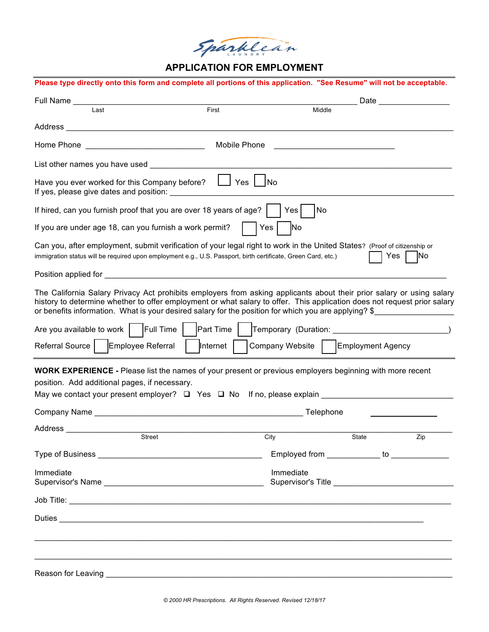Sparklean

# **APPLICATION FOR EMPLOYMENT**

| Full Name                                                                                                                                                                                                                                                                                                                                                 |              |                                     |                                               | Date __________________ |
|-----------------------------------------------------------------------------------------------------------------------------------------------------------------------------------------------------------------------------------------------------------------------------------------------------------------------------------------------------------|--------------|-------------------------------------|-----------------------------------------------|-------------------------|
| Last                                                                                                                                                                                                                                                                                                                                                      | First        |                                     | Middle                                        |                         |
| Address                                                                                                                                                                                                                                                                                                                                                   |              |                                     |                                               |                         |
| Home Phone                                                                                                                                                                                                                                                                                                                                                | Mobile Phone |                                     |                                               |                         |
|                                                                                                                                                                                                                                                                                                                                                           |              |                                     |                                               |                         |
| Have you ever worked for this Company before? $\Box$ Yes $\Box$                                                                                                                                                                                                                                                                                           |              | No                                  |                                               |                         |
| If hired, can you furnish proof that you are over 18 years of age?                                                                                                                                                                                                                                                                                        |              | No<br>Yes                           |                                               |                         |
| If you are under age 18, can you furnish a work permit?                                                                                                                                                                                                                                                                                                   |              | No<br>Yes                           |                                               |                         |
| Can you, after employment, submit verification of your legal right to work in the United States? (Proof of citizenship or<br>immigration status will be required upon employment e.g., U.S. Passport, birth certificate, Green Card, etc.)                                                                                                                |              |                                     |                                               | Yes<br><b>INo</b>       |
|                                                                                                                                                                                                                                                                                                                                                           |              |                                     |                                               |                         |
| The California Salary Privacy Act prohibits employers from asking applicants about their prior salary or using salary<br>history to determine whether to offer employment or what salary to offer. This application does not request prior salary<br>or benefits information. What is your desired salary for the position for which you are applying? \$ |              |                                     |                                               |                         |
| Full Time<br>Are you available to work                                                                                                                                                                                                                                                                                                                    | Part Time    |                                     |                                               |                         |
| Referral Source   Employee Referral                                                                                                                                                                                                                                                                                                                       | Internet     | Company Website   Employment Agency |                                               |                         |
| <b>WORK EXPERIENCE -</b> Please list the names of your present or previous employers beginning with more recent<br>position. Add additional pages, if necessary.<br>May we contact your present employer? $\square$ Yes $\square$ No If no, please explain _____________________________                                                                  |              |                                     |                                               |                         |
|                                                                                                                                                                                                                                                                                                                                                           |              |                                     | Telephone                                     |                         |
| Address                                                                                                                                                                                                                                                                                                                                                   |              |                                     |                                               |                         |
| Street                                                                                                                                                                                                                                                                                                                                                    |              | City                                | <b>State</b>                                  | Zip                     |
|                                                                                                                                                                                                                                                                                                                                                           |              |                                     | Employed from _____________ to ______________ |                         |
| Immediate                                                                                                                                                                                                                                                                                                                                                 |              | Immediate                           |                                               |                         |
|                                                                                                                                                                                                                                                                                                                                                           |              |                                     |                                               |                         |
|                                                                                                                                                                                                                                                                                                                                                           |              |                                     |                                               |                         |
|                                                                                                                                                                                                                                                                                                                                                           |              |                                     |                                               |                         |
|                                                                                                                                                                                                                                                                                                                                                           |              |                                     |                                               |                         |
|                                                                                                                                                                                                                                                                                                                                                           |              |                                     |                                               |                         |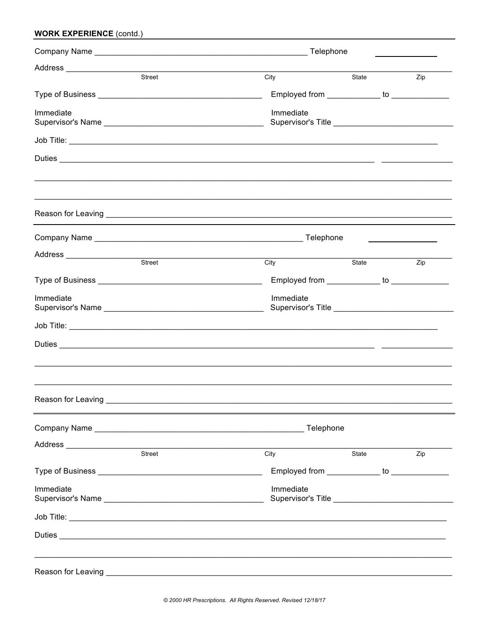| <b>WORK EXPERIENCE (contd.)</b>         |                                                                                                                                                                                                                                                   |                                                                                                                        |     |  |
|-----------------------------------------|---------------------------------------------------------------------------------------------------------------------------------------------------------------------------------------------------------------------------------------------------|------------------------------------------------------------------------------------------------------------------------|-----|--|
|                                         | Telephone                                                                                                                                                                                                                                         |                                                                                                                        |     |  |
|                                         |                                                                                                                                                                                                                                                   |                                                                                                                        |     |  |
| Street                                  | City                                                                                                                                                                                                                                              | State                                                                                                                  | Zip |  |
|                                         | Employed from _____________ to _____________                                                                                                                                                                                                      |                                                                                                                        |     |  |
| Immediate                               | Immediate                                                                                                                                                                                                                                         |                                                                                                                        |     |  |
|                                         |                                                                                                                                                                                                                                                   |                                                                                                                        |     |  |
|                                         |                                                                                                                                                                                                                                                   | <u> 1989 - Johann John Harry Harry Harry Harry Harry Harry Harry Harry Harry Harry Harry Harry Harry Harry Harry H</u> |     |  |
|                                         |                                                                                                                                                                                                                                                   |                                                                                                                        |     |  |
|                                         |                                                                                                                                                                                                                                                   |                                                                                                                        |     |  |
| Address _____________________<br>Street | City                                                                                                                                                                                                                                              | State                                                                                                                  | Zip |  |
|                                         |                                                                                                                                                                                                                                                   |                                                                                                                        |     |  |
|                                         | Employed from _____________ to ______________                                                                                                                                                                                                     |                                                                                                                        |     |  |
| Immediate                               | Immediate<br>Supervisor's Title <b>Contract Contract Contract Contract Contract Contract Contract Contract Contract Contract Contract Contract Contract Contract Contract Contract Contract Contract Contract Contract Contract Contract Cont</b> |                                                                                                                        |     |  |
|                                         |                                                                                                                                                                                                                                                   |                                                                                                                        |     |  |
|                                         |                                                                                                                                                                                                                                                   |                                                                                                                        |     |  |
|                                         |                                                                                                                                                                                                                                                   |                                                                                                                        |     |  |
|                                         | Telephone                                                                                                                                                                                                                                         |                                                                                                                        |     |  |
|                                         |                                                                                                                                                                                                                                                   |                                                                                                                        |     |  |
| Street                                  | City                                                                                                                                                                                                                                              | State                                                                                                                  | Zip |  |
|                                         | Employed from _____________ to _______________                                                                                                                                                                                                    |                                                                                                                        |     |  |
| Immediate                               | Immediate<br>Supervisor's Title <b>Constantine and Constantine Constantine and Constantine Constantine Constantine Constantine Constantine Constantine Constantine Constantine Constantine Constantine Constantine Constantine Constantine Co</b> |                                                                                                                        |     |  |
|                                         |                                                                                                                                                                                                                                                   |                                                                                                                        |     |  |
|                                         |                                                                                                                                                                                                                                                   |                                                                                                                        |     |  |
|                                         |                                                                                                                                                                                                                                                   |                                                                                                                        |     |  |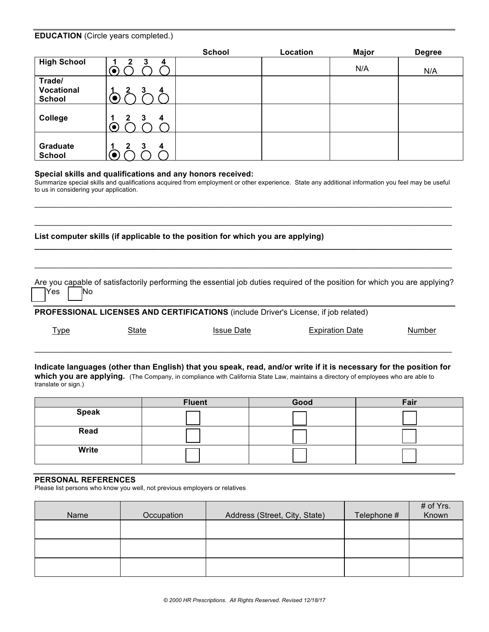|                                       |                                 | School | Location | <b>Major</b> | <b>Degree</b> |
|---------------------------------------|---------------------------------|--------|----------|--------------|---------------|
| <b>High School</b>                    | 4<br>J.                         |        |          | N/A          | N/A           |
| Trade/<br>Vocational<br><b>School</b> | 3<br>4                          |        |          |              |               |
| College                               | 3<br>$\overline{4}$<br>2<br>(●) |        |          |              |               |
| Graduate<br><b>School</b>             | 3<br>4<br>$\bullet$             |        |          |              |               |

#### **Special skills and qualifications and any honors received:**

Summarize special skills and qualifications acquired from employment or other experience. State any additional information you feel may be useful to us in considering your application.

 $\mathcal{L}_\mathcal{L} = \{ \mathcal{L}_\mathcal{L} = \{ \mathcal{L}_\mathcal{L} = \{ \mathcal{L}_\mathcal{L} = \{ \mathcal{L}_\mathcal{L} = \{ \mathcal{L}_\mathcal{L} = \{ \mathcal{L}_\mathcal{L} = \{ \mathcal{L}_\mathcal{L} = \{ \mathcal{L}_\mathcal{L} = \{ \mathcal{L}_\mathcal{L} = \{ \mathcal{L}_\mathcal{L} = \{ \mathcal{L}_\mathcal{L} = \{ \mathcal{L}_\mathcal{L} = \{ \mathcal{L}_\mathcal{L} = \{ \mathcal{L}_\mathcal{$ 

 $\_$  ,  $\_$  ,  $\_$  ,  $\_$  ,  $\_$  ,  $\_$  ,  $\_$  ,  $\_$  ,  $\_$  ,  $\_$  ,  $\_$  ,  $\_$  ,  $\_$  ,  $\_$  ,  $\_$  ,  $\_$  ,  $\_$  ,  $\_$  ,  $\_$  ,  $\_$  ,  $\_$  ,  $\_$  ,  $\_$  ,  $\_$  ,  $\_$  ,  $\_$  ,  $\_$  ,  $\_$  ,  $\_$  ,  $\_$  ,  $\_$  ,  $\_$  ,  $\_$  ,  $\_$  ,  $\_$  ,  $\_$  ,  $\_$  ,

**\_\_\_\_\_\_\_\_\_\_\_\_\_\_\_\_\_\_\_\_\_\_\_\_\_\_\_\_\_\_\_\_\_\_\_\_\_\_\_\_\_\_\_\_\_\_\_\_\_\_\_\_\_\_\_\_\_\_\_\_\_\_\_\_\_\_\_\_\_\_\_\_\_\_\_\_\_\_\_\_\_\_\_\_\_\_\_\_\_\_\_\_\_\_**

 $\mathcal{L}_\mathcal{L} = \{ \mathcal{L}_\mathcal{L} = \{ \mathcal{L}_\mathcal{L} = \{ \mathcal{L}_\mathcal{L} = \{ \mathcal{L}_\mathcal{L} = \{ \mathcal{L}_\mathcal{L} = \{ \mathcal{L}_\mathcal{L} = \{ \mathcal{L}_\mathcal{L} = \{ \mathcal{L}_\mathcal{L} = \{ \mathcal{L}_\mathcal{L} = \{ \mathcal{L}_\mathcal{L} = \{ \mathcal{L}_\mathcal{L} = \{ \mathcal{L}_\mathcal{L} = \{ \mathcal{L}_\mathcal{L} = \{ \mathcal{L}_\mathcal{$ 

**List computer skills (if applicable to the position for which you are applying)** 

Are you capable of satisfactorily performing the essential job duties required of the position for which you are applying? Yes | No

**PROFESSIONAL LICENSES AND CERTIFICATIONS** (include Driver's License, if job related)

Type State Issue Date Expiration Date Number

**Indicate languages (other than English) that you speak, read, and/or write if it is necessary for the position for which you are applying.** (The Company, in compliance with California State Law, maintains a directory of employees who are able to translate or sign.)

 $\_$  ,  $\_$  ,  $\_$  ,  $\_$  ,  $\_$  ,  $\_$  ,  $\_$  ,  $\_$  ,  $\_$  ,  $\_$  ,  $\_$  ,  $\_$  ,  $\_$  ,  $\_$  ,  $\_$  ,  $\_$  ,  $\_$  ,  $\_$  ,  $\_$  ,  $\_$  ,  $\_$  ,  $\_$  ,  $\_$  ,  $\_$  ,  $\_$  ,  $\_$  ,  $\_$  ,  $\_$  ,  $\_$  ,  $\_$  ,  $\_$  ,  $\_$  ,  $\_$  ,  $\_$  ,  $\_$  ,  $\_$  ,  $\_$  ,

|              | <b>Fluent</b> | Good | Fair |
|--------------|---------------|------|------|
| <b>Speak</b> |               |      |      |
| Read         |               |      |      |
| Write        |               |      |      |

#### **PERSONAL REFERENCES**

Please list persons who know you well, not previous employers or relatives

| Name | Occupation | Address (Street, City, State) | Telephone # | # of Yrs.<br>Known |
|------|------------|-------------------------------|-------------|--------------------|
|      |            |                               |             |                    |
|      |            |                               |             |                    |
|      |            |                               |             |                    |